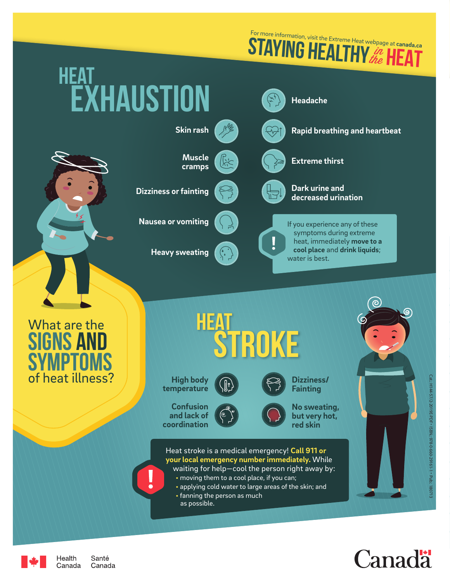**STAYING HEALTHY** *in* FLAT in the For more information, visit the Extreme Heat webpage at **canada.ca**





Health Santé Canada Canada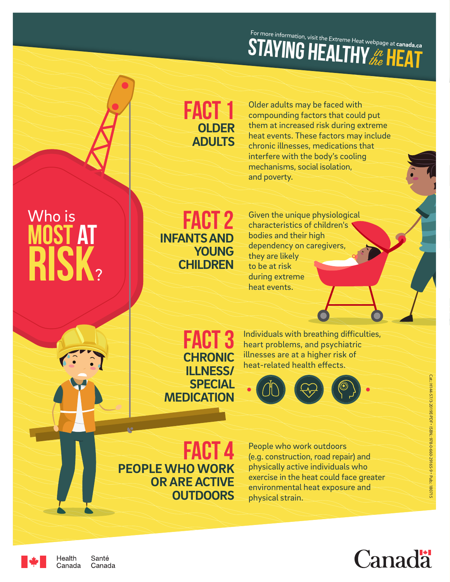## **STAYING HEALTHY** *in* **HEAT** For more information, visit the Extreme Heat webpage at **canada.ca**

### FACT 1 **OLDER ADULTS**

Older adults may be faced with compounding factors that could put them at increased risk during extreme heat events. These factors may include chronic illnesses, medications that interfere with the body's cooling mechanisms, social isolation, and poverty.

## Who is **MOST A RISK.**

**FACT 2 INFANTS AND YOUNG CHILDREN**

Given the unique physiological characteristics of children's bodies and their high dependency on caregivers, they are likely to be at risk during extreme heat events.

FACT<sup>3</sup> **CHRONIC ILLNESS/ SPECIAL MEDICATION**

Individuals with breathing difficulties, heart problems, and psychiatric illnesses are at a higher risk of heat-related health effects.



FACT 4 **PEOPLE WHO WORK OR ARE ACTIVE OUTDOORS** 

People who work outdoors (e.g. construction, road repair) and physically active individuals who exercise in the heat could face greater environmental heat exposure and physical strain.